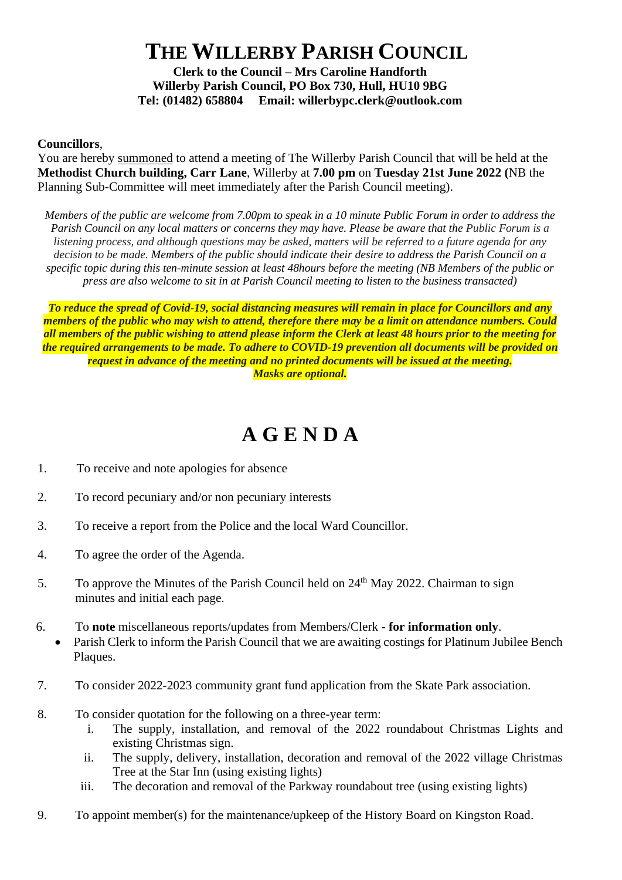## **THE WILLERBY PARISH COUNCIL**

**Clerk to the Council – Mrs Caroline Handforth Willerby Parish Council, PO Box 730, Hull, HU10 9BG Tel: (01482) 658804 Email: willerbypc.clerk@outlook.com**

## **Councillors**,

You are hereby summoned to attend a meeting of The Willerby Parish Council that will be held at the **Methodist Church building, Carr Lane**, Willerby at **7.00 pm** on **Tuesday 21st June 2022 (**NB the Planning Sub-Committee will meet immediately after the Parish Council meeting).

*Members of the public are welcome from 7.00pm to speak in a 10 minute Public Forum in order to address the Parish Council on any local matters or concerns they may have. Please be aware that the Public Forum is a listening process, and although questions may be asked, matters will be referred to a future agenda for any decision to be made. Members of the public should indicate their desire to address the Parish Council on a specific topic during this ten-minute session at least 48hours before the meeting (NB Members of the public or press are also welcome to sit in at Parish Council meeting to listen to the business transacted)* 

*To reduce the spread of Covid-19, social distancing measures will remain in place for Councillors and any members of the public who may wish to attend, therefore there may be a limit on attendance numbers. Could all members of the public wishing to attend please inform the Clerk at least 48 hours prior to the meeting for the required arrangements to be made. To adhere to COVID-19 prevention all documents will be provided on request in advance of the meeting and no printed documents will be issued at the meeting. Masks are optional.*

## **A G E N D A**

- 1. To receive and note apologies for absence
- 2. To record pecuniary and/or non pecuniary interests
- 3. To receive a report from the Police and the local Ward Councillor.
- 4. To agree the order of the Agenda.
- 5. To approve the Minutes of the Parish Council held on  $24<sup>th</sup>$  May 2022. Chairman to sign minutes and initial each page.
- 6. To **note** miscellaneous reports/updates from Members/Clerk **- for information only**.
	- Parish Clerk to inform the Parish Council that we are awaiting costings for Platinum Jubilee Bench Plaques.
- 7. To consider 2022-2023 community grant fund application from the Skate Park association.
- 8. To consider quotation for the following on a three-year term:
	- i. The supply, installation, and removal of the 2022 roundabout Christmas Lights and existing Christmas sign.
	- ii. The supply, delivery, installation, decoration and removal of the 2022 village Christmas Tree at the Star Inn (using existing lights)
	- iii. The decoration and removal of the Parkway roundabout tree (using existing lights)
- 9. To appoint member(s) for the maintenance/upkeep of the History Board on Kingston Road.